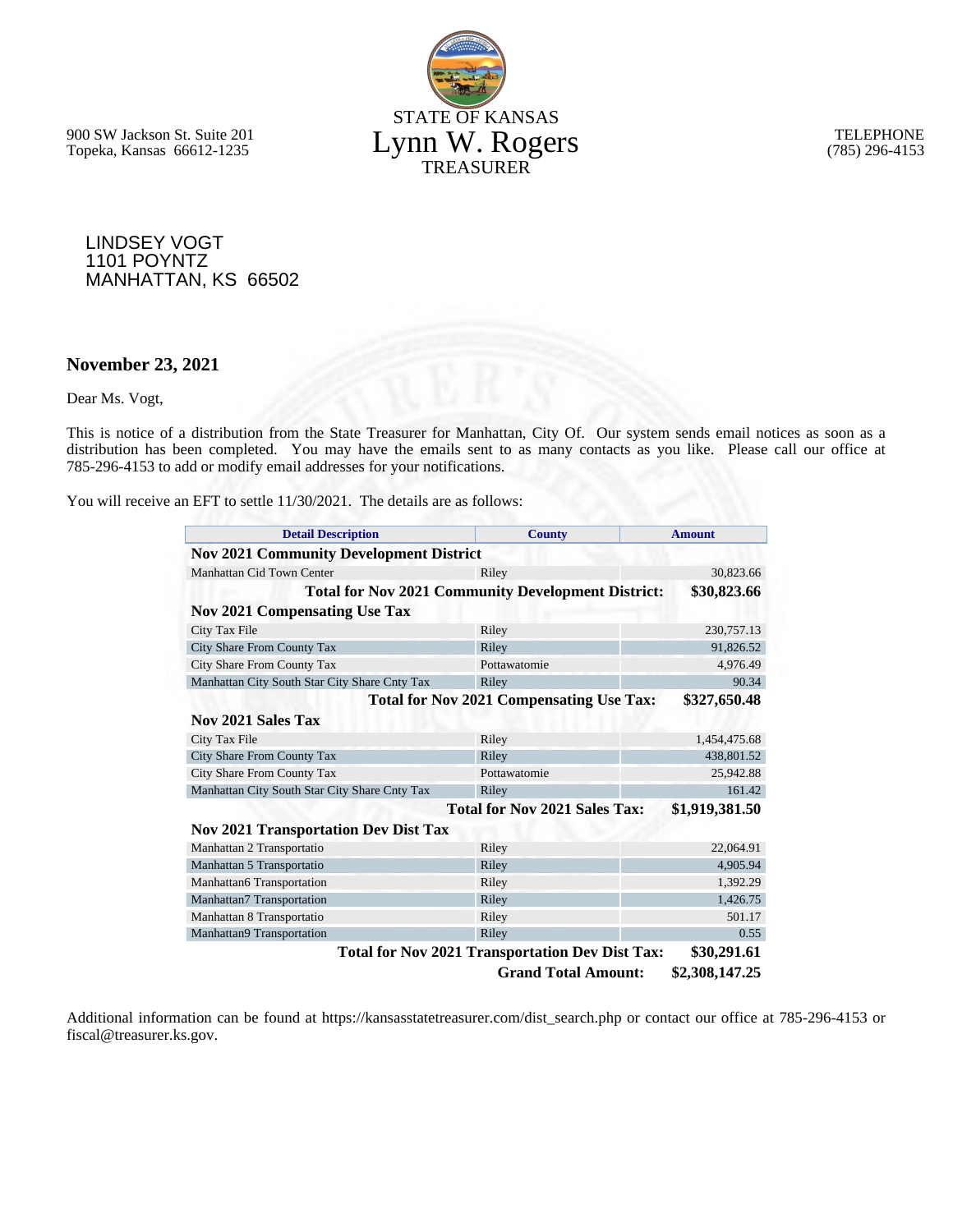STATE OF KANSAS Lynn W. Rogers TREASURER

900 SW Jackson St. Suite 201 Topeka, Kansas 66612-1235

TELEPHONE (785) 296-4153

LINDSEY VOGT 1101 POYNTZ MANHATTAN, KS 66502

#### **November 23, 2021**

Dear Ms. Vogt,

This is notice of a distribution from the State Treasurer for Manhattan, City Of. Our system sends email notices as soon as a distribution has been completed. You may have the emails sent to as many contacts as you like. Please call our office at 785-296-4153 to add or modify email addresses for your notifications.

You will receive an EFT to settle 11/30/2021. The details are as follows:

| <b>Detail Description</b>                      | <b>County</b>                                             | <b>Amount</b>  |  |  |
|------------------------------------------------|-----------------------------------------------------------|----------------|--|--|
| <b>Nov 2021 Community Development District</b> |                                                           |                |  |  |
| Manhattan Cid Town Center                      | Riley                                                     | 30,823.66      |  |  |
|                                                | <b>Total for Nov 2021 Community Development District:</b> | \$30,823.66    |  |  |
| <b>Nov 2021 Compensating Use Tax</b>           |                                                           |                |  |  |
| City Tax File                                  | Riley                                                     | 230,757.13     |  |  |
| City Share From County Tax                     | Riley                                                     | 91,826.52      |  |  |
| City Share From County Tax                     | Pottawatomie                                              | 4.976.49       |  |  |
| Manhattan City South Star City Share Cnty Tax  | Riley                                                     | 90.34          |  |  |
|                                                | <b>Total for Nov 2021 Compensating Use Tax:</b>           | \$327,650.48   |  |  |
| Nov 2021 Sales Tax                             |                                                           |                |  |  |
| City Tax File                                  | Riley                                                     | 1,454,475.68   |  |  |
| City Share From County Tax                     | Riley                                                     | 438,801.52     |  |  |
| City Share From County Tax                     | Pottawatomie                                              | 25,942.88      |  |  |
| Manhattan City South Star City Share Cnty Tax  | Riley                                                     | 161.42         |  |  |
|                                                | <b>Total for Nov 2021 Sales Tax:</b>                      | \$1,919,381.50 |  |  |
| <b>Nov 2021 Transportation Dev Dist Tax</b>    |                                                           |                |  |  |
| Manhattan 2 Transportatio                      | Riley                                                     | 22,064.91      |  |  |
| Manhattan 5 Transportatio                      | Riley                                                     | 4,905.94       |  |  |
| Manhattan6 Transportation                      | Riley                                                     | 1,392.29       |  |  |
| Manhattan7 Transportation                      | Riley                                                     | 1,426.75       |  |  |
| Manhattan 8 Transportatio                      | Riley                                                     | 501.17         |  |  |
| Manhattan9 Transportation                      | Riley                                                     | 0.55           |  |  |
|                                                | <b>Total for Nov 2021 Transportation Dev Dist Tax:</b>    | \$30,291.61    |  |  |
|                                                | <b>Grand Total Amount:</b>                                | \$2,308,147.25 |  |  |

Additional information can be found at https://kansasstatetreasurer.com/dist\_search.php or contact our office at 785-296-4153 or fiscal@treasurer.ks.gov.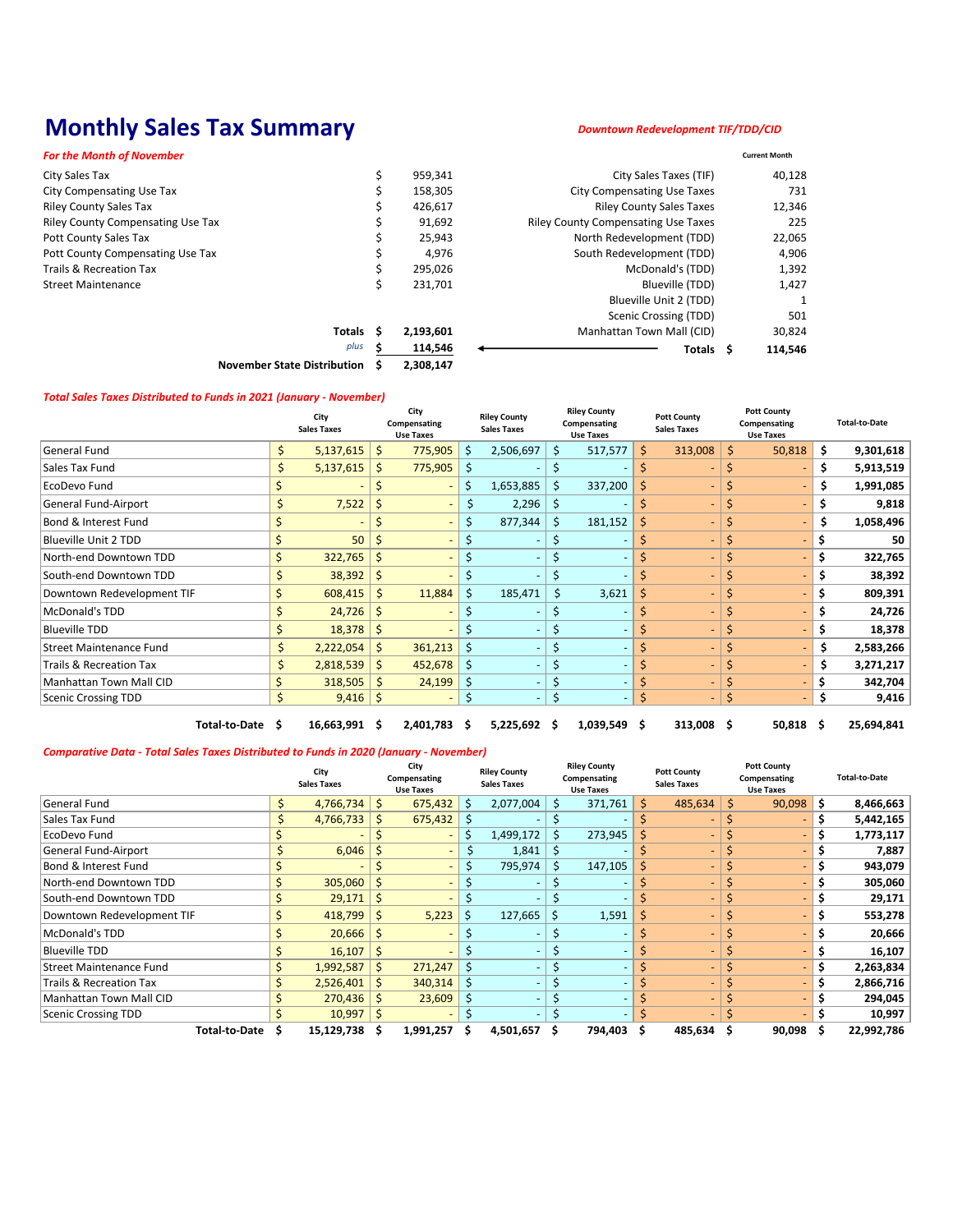## **Monthly Sales Tax Summary**

1

|                                    |    | City<br><b>Sales Taxes</b> |    | City<br>Compensating<br><b>Use Taxes</b> |    | <b>Riley County</b><br><b>Sales Taxes</b> |             | <b>Riley County</b><br>Compensating<br><b>Use Taxes</b> |     | <b>Pott County</b><br><b>Sales Taxes</b> |    | <b>Pott County</b><br>Compensating<br><b>Use Taxes</b> |     | <b>Total-to-Date</b> |
|------------------------------------|----|----------------------------|----|------------------------------------------|----|-------------------------------------------|-------------|---------------------------------------------------------|-----|------------------------------------------|----|--------------------------------------------------------|-----|----------------------|
| General Fund                       | \$ | 5,137,615                  | \$ | 775,905                                  | \$ | 2,506,697                                 | $\zeta$     | 517,577                                                 | \$  | 313,008                                  | \$ | 50,818                                                 | \$  | 9,301,618            |
| Sales Tax Fund                     | \$ | 5,137,615                  | \$ | 775,905                                  | \$ |                                           | $\zeta$     |                                                         | \$  |                                          | \$ |                                                        | \$. | 5,913,519            |
| EcoDevo Fund                       |    |                            | S  |                                          | \$ | 1,653,885                                 | $\zeta$     | 337,200                                                 | \$  |                                          | S  |                                                        | \$  | 1,991,085            |
| <b>General Fund-Airport</b>        | \$ | 7,522                      | \$ |                                          | \$ | 2,296                                     | $\zeta$     | $\overline{\phantom{a}}$                                | \$  | $\overline{\phantom{0}}$                 | \$ |                                                        | \$  | 9,818                |
| Bond & Interest Fund               | Ś  |                            | \$ | $\sim$                                   | \$ | 877,344                                   | \$          | 181,152                                                 | \$  |                                          | \$ |                                                        | \$  | 1,058,496            |
| <b>Blueville Unit 2 TDD</b>        | \$ | 50                         | \$ |                                          | \$ |                                           | \$          | $\qquad \qquad$                                         | \$  |                                          | \$ | $\overline{\phantom{a}}$                               | \$  | 50                   |
| North-end Downtown TDD             | \$ | 322,765                    | \$ |                                          | \$ |                                           | \$          | $\overline{\phantom{a}}$                                | \$  |                                          | \$ |                                                        | \$  | 322,765              |
| South-end Downtown TDD             | Ś  | 38,392                     | \$ |                                          | \$ |                                           | $\varsigma$ | $\overline{\phantom{0}}$                                | Ś   |                                          | \$ | $\sim$                                                 | \$  | 38,392               |
| Downtown Redevelopment TIF         | Ś  | 608,415                    | \$ | 11,884                                   | \$ | 185,471                                   | $\zeta$     | 3,621                                                   | \$  |                                          | \$ | $\sim$                                                 | \$  | 809,391              |
| McDonald's TDD                     | Ś  | 24,726                     | \$ |                                          | \$ |                                           | \$          |                                                         | \$  |                                          | \$ |                                                        | \$  | 24,726               |
| <b>Blueville TDD</b>               | Ś  | 18,378                     | \$ |                                          | \$ |                                           | \$          |                                                         | \$  |                                          | \$ |                                                        | \$  | 18,378               |
| <b>Street Maintenance Fund</b>     | \$ | 2,222,054                  | \$ | 361,213                                  | \$ |                                           | $\varsigma$ | $\overline{\phantom{a}}$                                | \$  | $\overline{\phantom{0}}$                 | \$ | $\overline{\phantom{a}}$                               | \$  | 2,583,266            |
| <b>Trails &amp; Recreation Tax</b> | \$ | 2,818,539                  | \$ | 452,678                                  | \$ |                                           | \$          | $\qquad \qquad \blacksquare$                            | \$  | $\blacksquare$                           | \$ |                                                        | \$  | 3,271,217            |
| Manhattan Town Mall CID            |    | 318,505                    | Ś. | 24,199                                   | \$ |                                           | \$          |                                                         |     |                                          | \$ |                                                        | \$  | 342,704              |
| <b>Scenic Crossing TDD</b>         | \$ | 9,416                      | \$ | $\sim$                                   | \$ | $\sim$                                    | $\varsigma$ | $\overline{\phantom{a}}$                                | \$  | $\blacksquare$                           | \$ | $\overline{\phantom{a}}$                               | \$  | 9,416                |
| <b>Total-to-Date</b>               | S  | 16,663,991                 | S  | 2,401,783                                | -S | 5,225,692                                 | S           | 1,039,549                                               | -\$ | 313,008                                  | \$ | 50,818                                                 | \$. | 25,694,841           |

| <b>Current Month</b> |
|----------------------|
| 40,128               |
| 731                  |
| 12,346               |
| 225                  |
| 22,065               |
| 4,906                |
| 1,392                |
| 1,427                |
|                      |
| 501                  |
| 30,824               |
| 114,546              |
|                      |

**\$ 2,308,147 November State Distribution**

|                                    | City<br><b>Sales Taxes</b> |     | City<br>Compensating<br>Use Taxes |              | <b>Riley County</b><br><b>Sales Taxes</b> |     | <b>Riley County</b><br>Compensating<br><b>Use Taxes</b> | <b>Pott County</b><br><b>Sales Taxes</b> | <b>Pott County</b><br>Compensating<br><b>Use Taxes</b> |     | <b>Total-to-Date</b> |
|------------------------------------|----------------------------|-----|-----------------------------------|--------------|-------------------------------------------|-----|---------------------------------------------------------|------------------------------------------|--------------------------------------------------------|-----|----------------------|
| General Fund                       | \$<br>4,766,734            | S   | 675,432                           | \$           | 2,077,004                                 | \$  | 371,761                                                 | \$<br>485,634                            | \$<br>90,098                                           | \$  | 8,466,663            |
| Sales Tax Fund                     | \$<br>4,766,733            | S   | 675,432                           | $\mathsf{S}$ |                                           |     |                                                         |                                          |                                                        | \$  | 5,442,165            |
| EcoDevo Fund                       |                            |     |                                   | S            | 1,499,172                                 | \$  | 273,945                                                 |                                          |                                                        | Ş.  | 1,773,117            |
| General Fund-Airport               | 6,046                      | Ś   |                                   | \$           | 1,841                                     | \$  |                                                         |                                          |                                                        | \$. | 7,887                |
| <b>Bond &amp; Interest Fund</b>    |                            |     |                                   | \$           | 795,974                                   | \$  | 147,105                                                 |                                          |                                                        | \$  | 943,079              |
| North-end Downtown TDD             | \$<br>305,060              | Ś   |                                   | \$           |                                           |     |                                                         |                                          |                                                        | \$  | 305,060              |
| South-end Downtown TDD             | 29,171                     | S   |                                   |              |                                           |     |                                                         |                                          |                                                        |     | 29,171               |
| Downtown Redevelopment TIF         | 418,799                    | \$. | 5,223                             | \$           | 127,665                                   | \$  | 1,591                                                   | \$                                       |                                                        |     | 553,278              |
| McDonald's TDD                     | 20,666                     | S   |                                   | \$           |                                           | \$, |                                                         |                                          |                                                        | \$  | 20,666               |
| <b>Blueville TDD</b>               | \$<br>16,107               | \$  |                                   | \$           |                                           | \$  |                                                         |                                          |                                                        |     | 16,107               |
| <b>Street Maintenance Fund</b>     | \$<br>1,992,587            | \$  | 271,247                           | $\zeta$      |                                           |     |                                                         |                                          |                                                        | \$  | 2,263,834            |
| <b>Trails &amp; Recreation Tax</b> | \$<br>2,526,401            |     | 340,314                           | $\zeta$      |                                           | \$  |                                                         |                                          |                                                        | \$  | 2,866,716            |
| <b>Manhattan Town Mall CID</b>     | 270,436                    | S   | 23,609                            | $\zeta$      |                                           |     |                                                         |                                          |                                                        |     | 294,045              |
| <b>Scenic Crossing TDD</b>         | 10,997                     | \$  |                                   |              |                                           |     |                                                         |                                          |                                                        |     | 10,997               |
| <b>Total-to-Date</b>               | 15,129,738                 |     | 1,991,257                         |              | 4,501,657                                 |     | 794,403                                                 | 485,634                                  | 90,098                                                 |     | 22,992,786           |

#### *Downtown Redevelopment TIF/TDD/CID*

#### *Total Sales Taxes Distributed to Funds in 2021 (January - November)*

### *Comparative Data - Total Sales Taxes Distributed to Funds in 2020 (January - November)*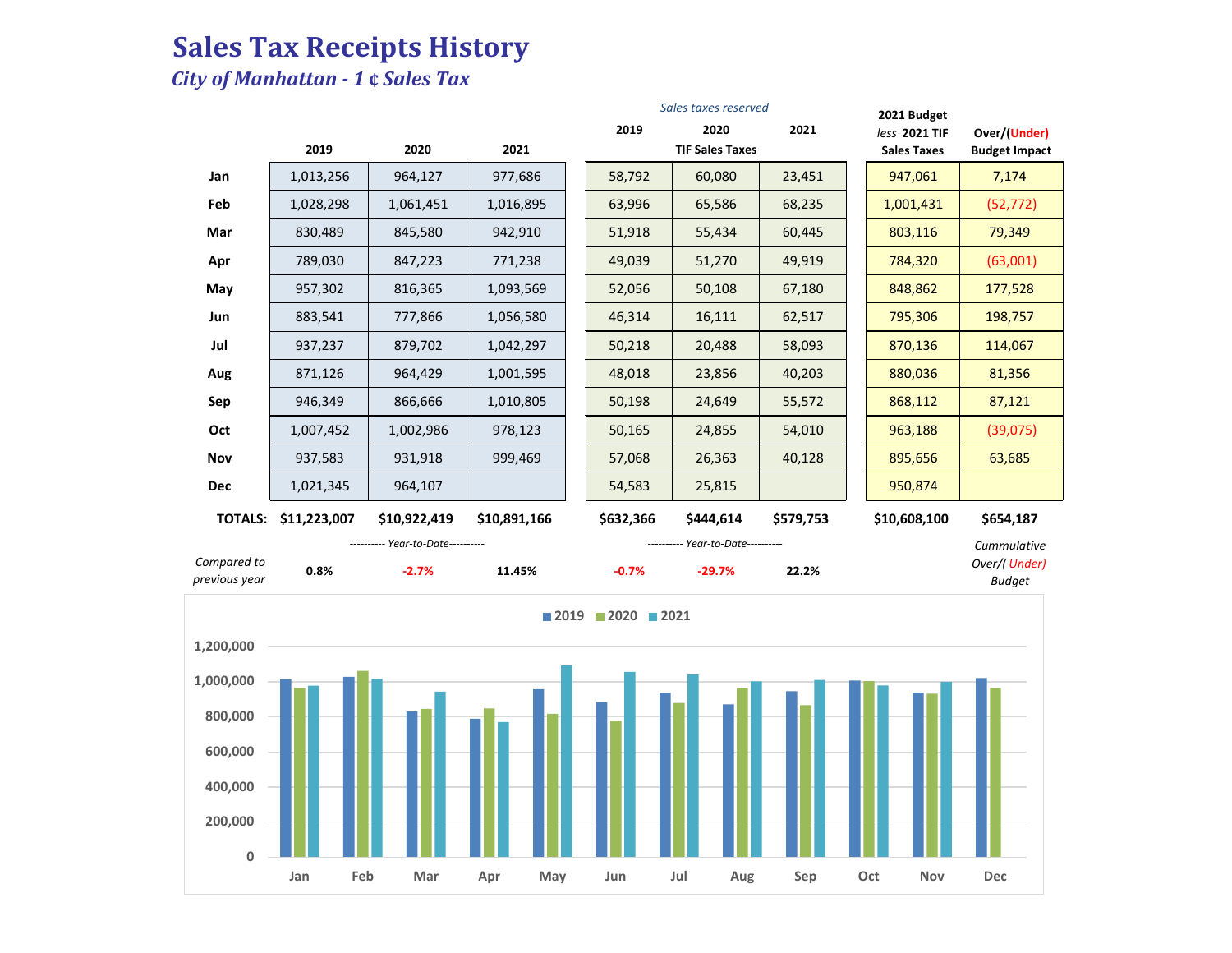# **Sales Tax Receipts History**

### *City of Manhattan - 1* **¢** *Sales Tax*

|                              |                      |                                   |              |               | Sales taxes reserved              |           | 2021 Budget                         |                                      |
|------------------------------|----------------------|-----------------------------------|--------------|---------------|-----------------------------------|-----------|-------------------------------------|--------------------------------------|
|                              | 2019                 | 2020                              | 2021         | 2019          | 2020<br><b>TIF Sales Taxes</b>    | 2021      | less 2021 TIF<br><b>Sales Taxes</b> | Over/(Under)<br><b>Budget Impact</b> |
| Jan                          | 1,013,256            | 964,127                           | 977,686      | 58,792        | 60,080                            | 23,451    | 947,061                             | 7,174                                |
| Feb                          | 1,028,298            | 1,061,451                         | 1,016,895    | 63,996        | 65,586                            | 68,235    | 1,001,431                           | (52, 772)                            |
| Mar                          | 830,489              | 845,580                           | 942,910      | 51,918        | 55,434                            | 60,445    | 803,116                             | 79,349                               |
| Apr                          | 789,030              | 847,223                           | 771,238      | 49,039        | 51,270                            | 49,919    | 784,320                             | (63,001)                             |
| May                          | 957,302              | 816,365                           | 1,093,569    | 52,056        | 50,108                            | 67,180    | 848,862                             | 177,528                              |
| Jun                          | 883,541              | 777,866                           | 1,056,580    | 46,314        | 16,111                            | 62,517    | 795,306                             | 198,757                              |
| Jul                          | 937,237              | 879,702                           | 1,042,297    | 50,218        | 20,488                            | 58,093    | 870,136                             | 114,067                              |
| Aug                          | 871,126              | 964,429                           | 1,001,595    | 48,018        | 23,856                            | 40,203    | 880,036                             | 81,356                               |
| Sep                          | 946,349              | 866,666                           | 1,010,805    | 50,198        | 24,649                            | 55,572    | 868,112                             | 87,121                               |
| Oct                          | 1,007,452            | 1,002,986                         | 978,123      | 50,165        | 24,855                            | 54,010    | 963,188                             | (39,075)                             |
| Nov                          | 937,583              | 931,918                           | 999,469      | 57,068        | 26,363                            | 40,128    | 895,656                             | 63,685                               |
| <b>Dec</b>                   | 1,021,345            | 964,107                           |              | 54,583        | 25,815                            |           | 950,874                             |                                      |
|                              |                      |                                   |              |               |                                   |           |                                     |                                      |
|                              | TOTALS: \$11,223,007 | \$10,922,419                      | \$10,891,166 | \$632,366     | \$444,614                         | \$579,753 | \$10,608,100                        | \$654,187                            |
|                              |                      | ---------- Year-to-Date---------- |              |               | ---------- Year-to-Date---------- |           |                                     | Cummulative                          |
| Compared to<br>previous year | 0.8%                 | $-2.7%$                           | 11.45%       | $-0.7%$       | $-29.7%$                          | 22.2%     |                                     | <b>Budget</b>                        |
|                              |                      |                                   | ■2019        | ■ 2020 ■ 2021 |                                   |           |                                     | Over/(Under)                         |
| 1,200,000                    |                      |                                   |              |               |                                   |           |                                     |                                      |
| 1,000,000                    |                      |                                   |              |               |                                   |           |                                     |                                      |
|                              |                      |                                   |              |               |                                   |           |                                     |                                      |
| 800,000                      |                      |                                   |              |               |                                   |           |                                     |                                      |
| 600,000                      |                      |                                   |              |               |                                   |           |                                     |                                      |
| 400,000                      |                      |                                   |              |               |                                   |           |                                     |                                      |
| 200,000                      |                      |                                   |              |               |                                   |           |                                     |                                      |
| $\pmb{0}$                    |                      |                                   |              |               |                                   |           |                                     |                                      |